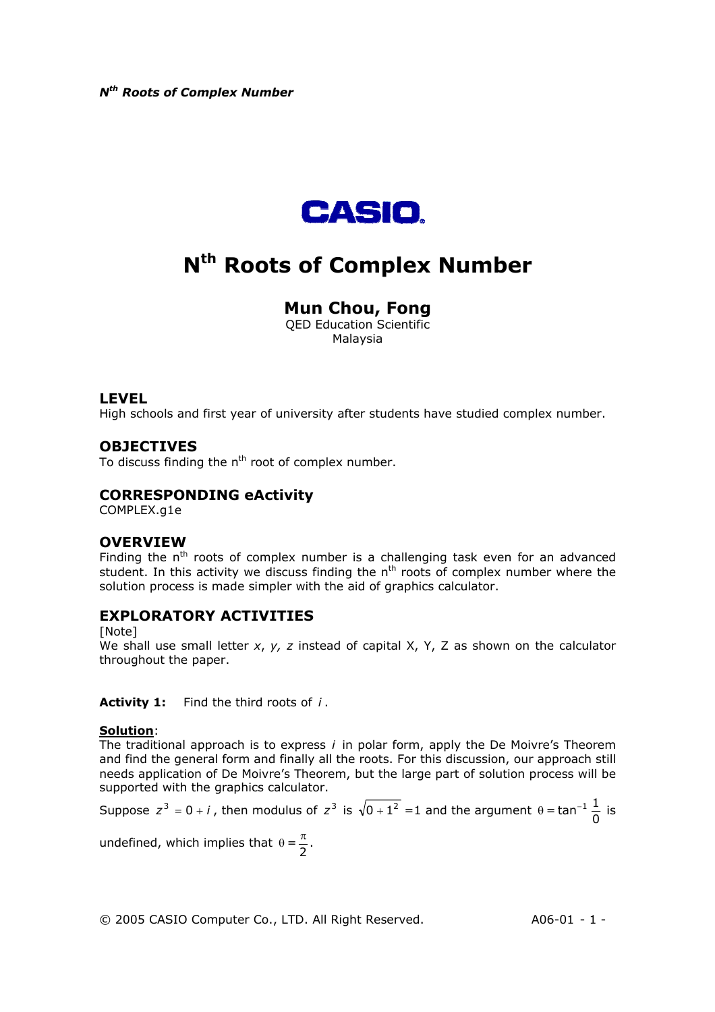

# **Nth Roots of Complex Number**

## **Mun Chou, Fong**

QED Education Scientific Malaysia

#### **LEVEL**

High schools and first year of university after students have studied complex number.

## **OBJECTIVES**

To discuss finding the  $n<sup>th</sup>$  root of complex number.

## **CORRESPONDING eActivity**

COMPLEX.g1e

#### **OVERVIEW**

Finding the n<sup>th</sup> roots of complex number is a challenging task even for an advanced student. In this activity we discuss finding the  $n<sup>th</sup>$  roots of complex number where the solution process is made simpler with the aid of graphics calculator.

#### **EXPLORATORY ACTIVITIES**

[Note]

We shall use small letter *x*, *y, z* instead of capital X, Y, Z as shown on the calculator throughout the paper.

**Activity 1:** Find the third roots of *i* .

#### **Solution**:

The traditional approach is to express *i* in polar form, apply the De Moivre's Theorem and find the general form and finally all the roots. For this discussion, our approach still needs application of De Moivre's Theorem, but the large part of solution process will be supported with the graphics calculator.

Suppose 
$$
z^3 = 0 + i
$$
, then modulus of  $z^3$  is  $\sqrt{0 + 1^2} = 1$  and the argument  $\theta = \tan^{-1} \frac{1}{0}$  is

undefined, which implies that  $\theta = \frac{\pi}{2}$ .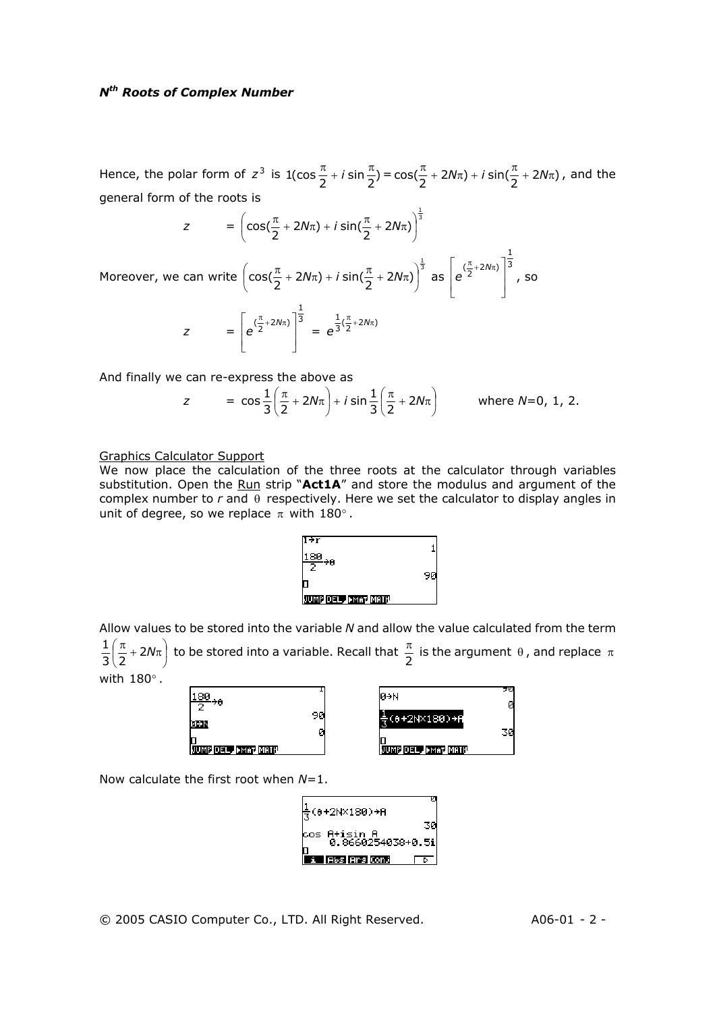Hence, the polar form of  $z^3$  is  $1(\cos{\frac{\pi}{2}} + i \sin{\frac{\pi}{2}}) = \cos(\frac{\pi}{2} + 2N\pi) + i \sin(\frac{\pi}{2} + 2N\pi)$ , and the general form of the roots is

$$
z = \left( \cos(\frac{\pi}{2} + 2N\pi) + i \sin(\frac{\pi}{2} + 2N\pi) \right)^{\frac{1}{3}}
$$

Moreover, we can write  $\left(\cos(\frac{\pi}{2} + 2N\pi) + i \sin(\frac{\pi}{2} + 2N\pi)\right)^{\frac{1}{3}}$  $\cos(\frac{\pi}{2} + 2N\pi) + i \sin(\frac{\pi}{2} + 2N\pi)$  $\left(\cos(\frac{\pi}{2} + 2N\pi) + i \sin(\frac{\pi}{2} + 2N\pi)\right)$ l  $\left(\cos(\frac{\pi}{2} + 2N\pi) + i \sin(\frac{\pi}{2} + 2N\pi)\right)^{\frac{1}{3}}$  as  $\left|e^{\frac{(\pi}{2} + 2N\pi)}\right|^3$  $(\frac{\pi}{2} + 2N\pi)$  $\overline{\phantom{a}}$ I  $\perp$  $\overline{\phantom{a}}$  $\mathsf{I}$ L  $\int_{0}^{\pi}$  + 2N $\pi$ *e* , so

$$
z = \left[ e^{(\frac{\pi}{2} + 2N\pi)} \right]^{\frac{1}{3}} = e^{\frac{1}{3}(\frac{\pi}{2} + 2N\pi)}
$$

And finally we can re-express the above as

$$
z = \cos \frac{1}{3} \left( \frac{\pi}{2} + 2N\pi \right) + i \sin \frac{1}{3} \left( \frac{\pi}{2} + 2N\pi \right) \quad \text{where } N = 0, 1, 2.
$$

1

#### Graphics Calculator Support

We now place the calculation of the three roots at the calculator through variables substitution. Open the Run strip "**Act1A**" and store the modulus and argument of the complex number to *r* and θ respectively. Here we set the calculator to display angles in unit of degree, so we replace  $\pi$  with 180°.



Allow values to be stored into the variable *N* and allow the value calculated from the term  $\mathbb{I}$ J  $\left(\frac{\pi}{2}+2N\pi\right)$ L  $\frac{1}{3}$  $\left(\frac{\pi}{2}+2N\pi\right)$  to be stored into a variable. Recall that  $\frac{\pi}{2}$  is the argument  $\theta$  , and replace  $\pi$ with  $180^\circ$ .

| $\frac{180}{2}$ <sub>28</sub> |    | ø→N                | 90<br>ø |
|-------------------------------|----|--------------------|---------|
| ø÷N                           | 90 | ≑(θ+2N×180)→A      |         |
| JUMP DEL FMAT MATH            | Ø  | JUMP DEL PMAT MATH | 30      |

Now calculate the first root when *N*=1.

$$
\frac{1}{3}(0+2N\times180) + A
$$
\n
$$
\cos A + i \sin A
$$
\n
$$
0.8660254038 + 0.5i
$$
\n
$$
\cos A + i \sin A
$$
\n
$$
\cos A - i \sin A
$$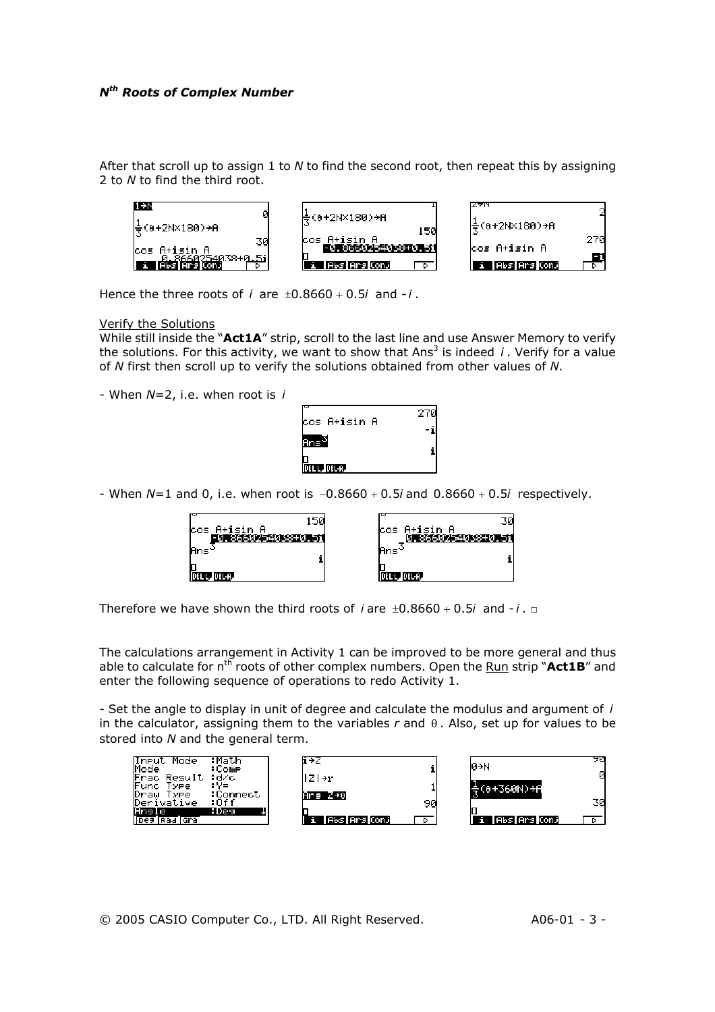After that scroll up to assign 1 to *N* to find the second root, then repeat this by assigning 2 to *N* to find the third root.



Hence the three roots of  $i$  are  $\pm 0.8660 + 0.5i$  and  $-i$ .

Verify the Solutions

While still inside the "**Act1A**" strip, scroll to the last line and use Answer Memory to verify the solutions. For this activity, we want to show that Ans<sup>3</sup> is indeed  $i$ . Verify for a value of *N* first then scroll up to verify the solutions obtained from other values of *N*.

- When *N*=2, i.e. when root is *i*



- When *N*=1 and 0, i.e. when root is −0.8660 + 0.5*i* and 0.8660 + 0.5*i* respectively.

| 150<br>cos A+isin A<br>- 2010/01/2012 12:30:45:45 12:45 | 30<br> cos A+isin A<br>医高尔氏综合征 化三氯化合物 |
|---------------------------------------------------------|---------------------------------------|
| Ans <sup>e</sup>                                        | lAns`                                 |
| DELL DELA.                                              | I DEL L. DEL A.                       |

Therefore we have shown the third roots of  $i$  are  $\pm 0.8660 + 0.5i$  and  $-i$ .  $\square$ 

The calculations arrangement in Activity 1 can be improved to be more general and thus able to calculate for n<sup>th</sup> roots of other complex numbers. Open the Run strip "Act1B" and enter the following sequence of operations to redo Activity 1.

- Set the angle to display in unit of degree and calculate the modulus and argument of *i* in the calculator, assigning them to the variables *r* and θ . Also, set up for values to be stored into *N* and the general term.



© 2005 CASIO Computer Co., LTD. All Right Reserved. A06-01 - 3 -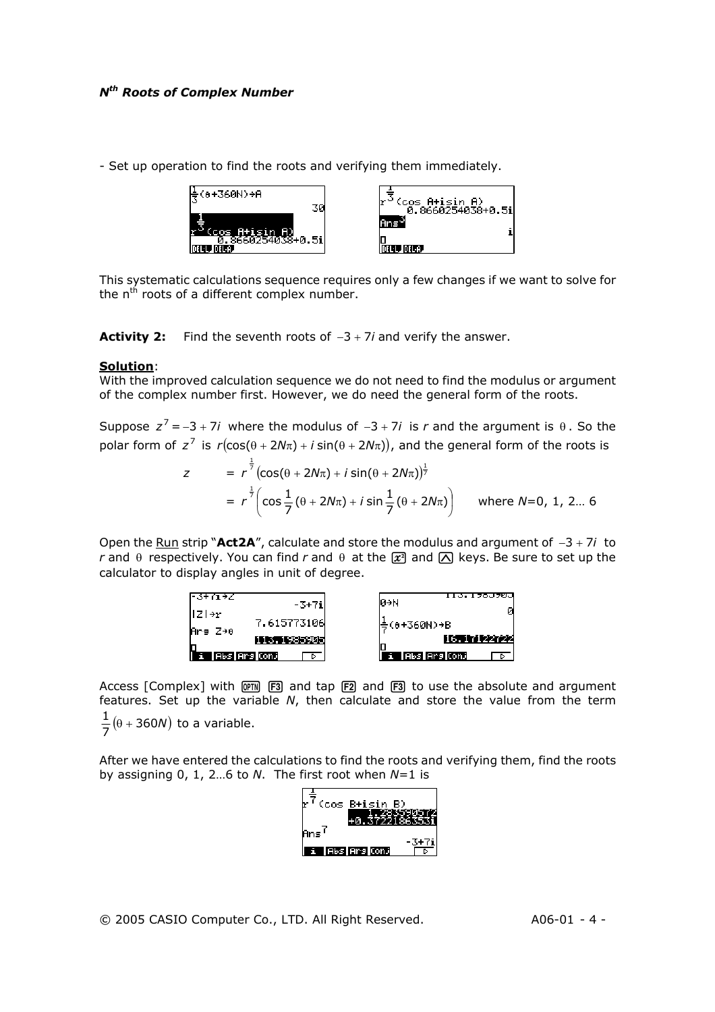- Set up operation to find the roots and verifying them immediately.



This systematic calculations sequence requires only a few changes if we want to solve for the  $n<sup>th</sup>$  roots of a different complex number.

**Activity 2:** Find the seventh roots of −3 + 7*i* and verify the answer.

#### **Solution**:

With the improved calculation sequence we do not need to find the modulus or argument of the complex number first. However, we do need the general form of the roots.

Suppose  $z^7 = -3 + 7i$  where the modulus of  $-3 + 7i$  is r and the argument is  $\theta$ . So the polar form of  $z^7$  is  $r(\cos(\theta + 2N\pi) + i \sin(\theta + 2N\pi))$ , and the general form of the roots is

$$
z = r^{\frac{1}{7}} (\cos(\theta + 2N\pi) + i \sin(\theta + 2N\pi))^{\frac{1}{7}}
$$
  
=  $r^{\frac{1}{7}} (\cos \frac{1}{7} (\theta + 2N\pi) + i \sin \frac{1}{7} (\theta + 2N\pi))$  where  $N=0, 1, 2...$  6

Open the Run strip "**Act2A**", calculate and store the modulus and argument of −3 + 7*i* to *r* and  $\theta$  respectively. You can find *r* and  $\theta$  at the  $\vec{x}$  and  $\Delta$  keys. Be sure to set up the calculator to display angles in unit of degree.



Access [Complex] with  $[PTN]$   $[FT3]$  and tap  $[FT2]$  and  $[FT3]$  to use the absolute and argument features. Set up the variable *N*, then calculate and store the value from the term  $\frac{1}{7}(\theta + 360N)$  to a variable.

After we have entered the calculations to find the roots and verifying them, find the roots by assigning 0, 1, 2…6 to *N*. The first root when *N*=1 is

| (cos B+isin B)                     |  |
|------------------------------------|--|
| Ans <sup>1</sup><br>i lAbslArslOnJ |  |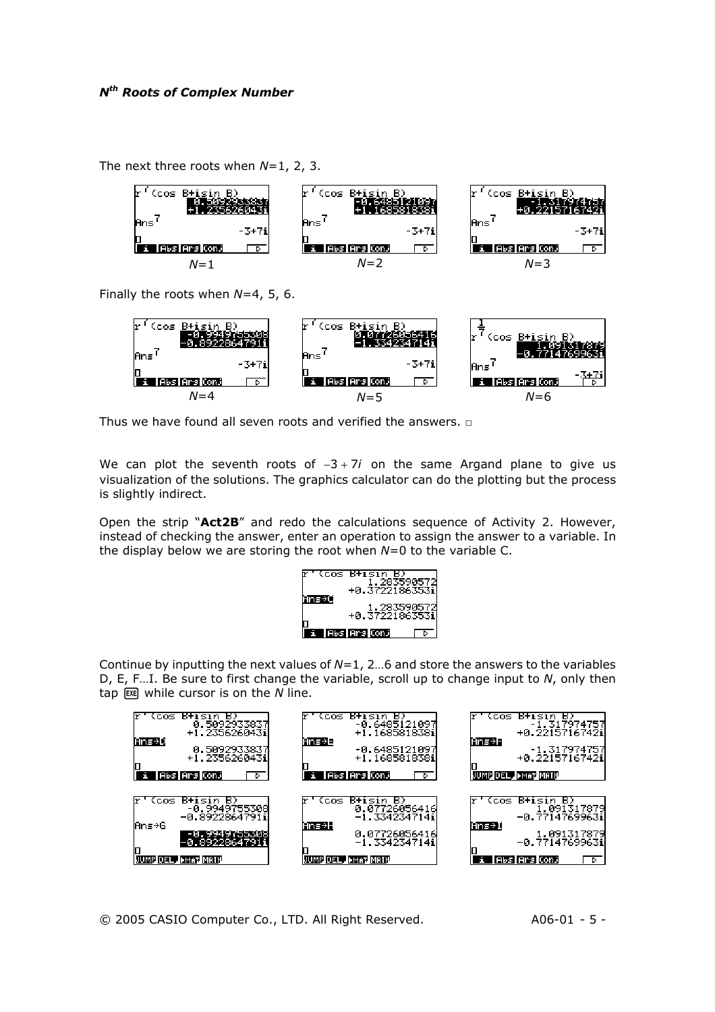The next three roots when *N*=1, 2, 3.



Finally the roots when *N*=4, 5, 6.



Thus we have found all seven roots and verified the answers.  $□$ 

We can plot the seventh roots of −3 + 7*i* on the same Argand plane to give us visualization of the solutions. The graphics calculator can do the plotting but the process is slightly indirect.

Open the strip "**Act2B**" and redo the calculations sequence of Activity 2. However, instead of checking the answer, enter an operation to assign the answer to a variable. In the display below we are storing the root when *N*=0 to the variable C.

|      | (cos B+isin I<br>+0.37221863531 |  |
|------|---------------------------------|--|
| ns→O | 1,283590572<br> 0.37221863531+  |  |
|      | l Abs l Ars Conj                |  |

Continue by inputting the next values of *N*=1, 2…6 and store the answers to the variables D, E, F…I. Be sure to first change the variable, scroll up to change input to *N*, only then tap  $\boxed{\text{ex}}$  while cursor is on the *N* line.

| B+isin B)<br>(cos<br>0.5092933837<br>+1.2356260431<br>Ans→D<br>0.5092933837<br>1.2356260431<br>T.<br> Abs Ars ConJ<br>D  | B+isin B)<br>(cos<br>-0.6485121097<br>+1.1685818381<br>Ans→E<br>-0.6485121097<br>+1.1685818381<br> Abs Ars Conj<br>п<br>D | (cos B+isin B)<br>-1.317974757<br>-0.22157167421<br>Ans→F<br>1.317974757<br> +0.22157167421<br>JUMP DEL , FMAT MATH |
|--------------------------------------------------------------------------------------------------------------------------|---------------------------------------------------------------------------------------------------------------------------|---------------------------------------------------------------------------------------------------------------------|
| B)<br>B+isin<br>(cos-<br>-0.89949755308<br>0.89228647911<br>lAns→G<br>-0.9949755308<br>-0.892286479<br>MP DEL JEMAT MATH | B)<br>B+isin<br>CCOS.<br>0.07726056416<br>-1.3342347141<br>Ans→H<br>0.07726056416<br>-1.3342347141<br>JUMP DEL J>MAT MATH | (cos B+isin<br>B)<br>- 1.091317879<br>-0.77147699631<br>Ans→I<br>1.091317879<br>1899631.0−<br>Abs Ars ConJ<br>D.    |

© 2005 CASIO Computer Co., LTD. All Right Reserved. A06-01 - 5 -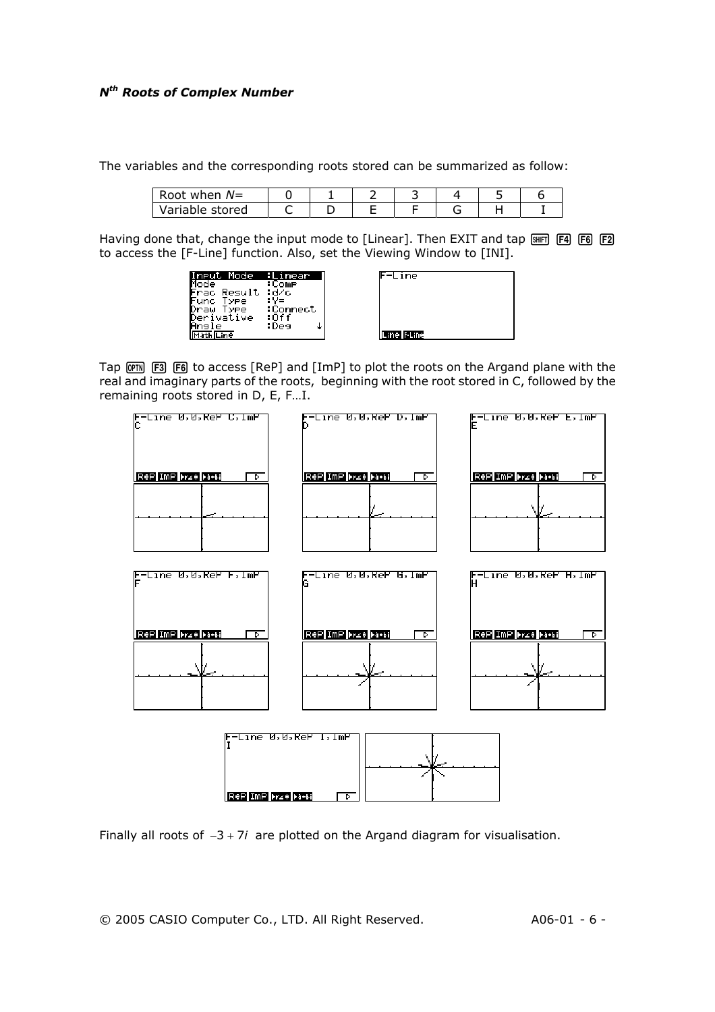The variables and the corresponding roots stored can be summarized as follow:

| Root<br>when $N=$ |  |  |  |  |
|-------------------|--|--|--|--|
| Variable stored   |  |  |  |  |

Having done that, change the input mode to [Linear]. Then EXIT and tap [ME] [F4] [F6] [F2] to access the [F-Line] function. Also, set the Viewing Window to [INI].

| 1ode<br>near                                         |
|------------------------------------------------------|
| Mode<br>:Comp                                        |
| Frac<br>Result<br>:d⁄c                               |
| Fund Type<br>Draw Type<br>Derivative<br><u>Angle</u> |
| :Connect                                             |
| :0ff<br>:Des                                         |
|                                                      |



Tap  $[PP]$   $[FB]$  to access  $[Rep]$  and  $[Imp]$  to plot the roots on the Argand plane with the real and imaginary parts of the roots, beginning with the root stored in C, followed by the remaining roots stored in D, E, F…I.



Finally all roots of −3 + 7*i* are plotted on the Argand diagram for visualisation.

© 2005 CASIO Computer Co., LTD. All Right Reserved. A06-01 - 6 -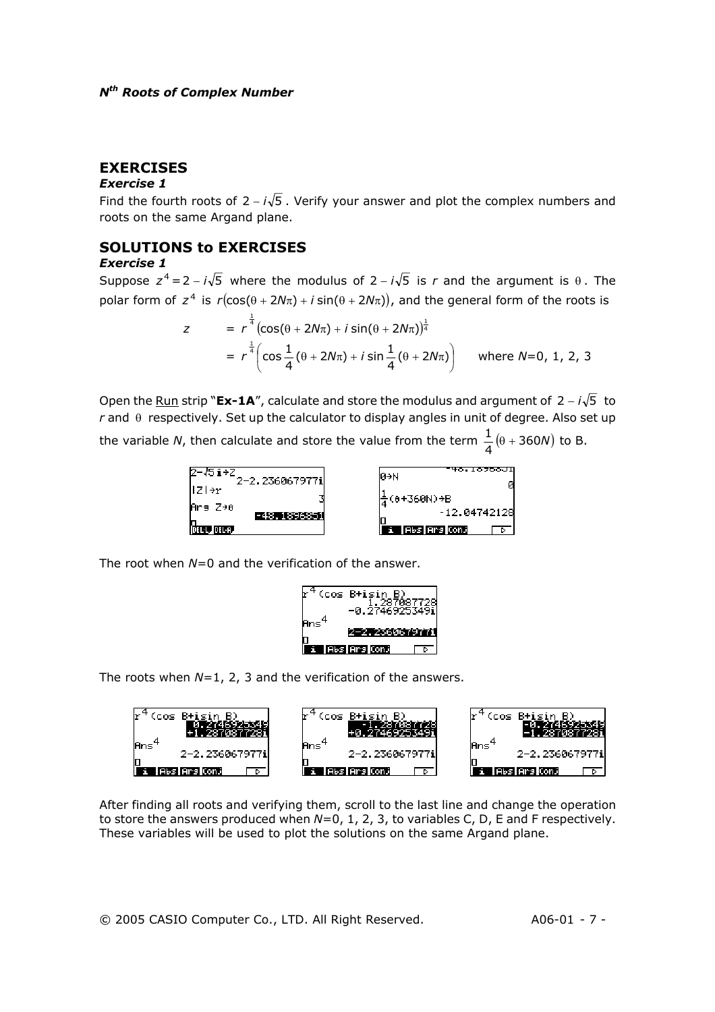## **EXERCISES**

#### *Exercise 1*

Find the fourth roots of  $2 - i\sqrt{5}$ . Verify your answer and plot the complex numbers and roots on the same Argand plane.

## **SOLUTIONS to EXERCISES**

#### *Exercise 1*

Suppose  $z^4 = 2 - i\sqrt{5}$  where the modulus of  $2 - i\sqrt{5}$  is *r* and the argument is  $\theta$ . The polar form of  $z^4$  is  $r(\cos(\theta + 2N\pi) + i \sin(\theta + 2N\pi))$ , and the general form of the roots is

$$
z = r^{\frac{1}{4}}(\cos(\theta + 2N\pi) + i \sin(\theta + 2N\pi))^{\frac{1}{4}}
$$
  
=  $r^{\frac{1}{4}}(\cos{\frac{1}{4}}(\theta + 2N\pi) + i \sin{\frac{1}{4}}(\theta + 2N\pi))$  where  $N=0, 1, 2, 3$ 

Open the <u>Run</u> strip "**Ex-1A**", calculate and store the modulus and argument of 2 – *i*√5 to *r* and θ respectively. Set up the calculator to display angles in unit of degree. Also set up the variable *N*, then calculate and store the value from the term  $\frac{1}{4}(\theta + 360N)$  to B.



The root when *N*=0 and the verification of the answer.



The roots when *N*=1, 2, 3 and the verification of the answers.



After finding all roots and verifying them, scroll to the last line and change the operation to store the answers produced when *N*=0, 1, 2, 3, to variables C, D, E and F respectively. These variables will be used to plot the solutions on the same Argand plane.